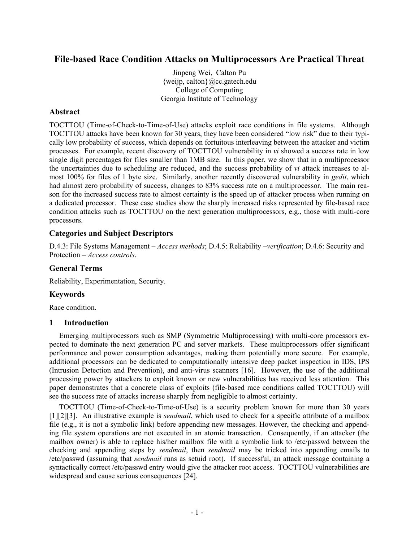# **File-based Race Condition Attacks on Multiprocessors Are Practical Threat**

Jinpeng Wei, Calton Pu {weijp, calton}@cc.gatech.edu College of Computing Georgia Institute of Technology

## **Abstract**

TOCTTOU (Time-of-Check-to-Time-of-Use) attacks exploit race conditions in file systems. Although TOCTTOU attacks have been known for 30 years, they have been considered "low risk" due to their typically low probability of success, which depends on fortuitous interleaving between the attacker and victim processes. For example, recent discovery of TOCTTOU vulnerability in *vi* showed a success rate in low single digit percentages for files smaller than 1MB size. In this paper, we show that in a multiprocessor the uncertainties due to scheduling are reduced, and the success probability of *vi* attack increases to almost 100% for files of 1 byte size. Similarly, another recently discovered vulnerability in *gedit*, which had almost zero probability of success, changes to 83% success rate on a multiprocessor. The main reason for the increased success rate to almost certainty is the speed up of attacker process when running on a dedicated processor. These case studies show the sharply increased risks represented by file-based race condition attacks such as TOCTTOU on the next generation multiprocessors, e.g., those with multi-core processors.

## **Categories and Subject Descriptors**

D.4.3: File Systems Management – *Access methods*; D.4.5: Reliability –*verification*; D.4.6: Security and Protection – *Access controls*.

### **General Terms**

Reliability, Experimentation, Security.

### **Keywords**

Race condition.

### **1 Introduction**

Emerging multiprocessors such as SMP (Symmetric Multiprocessing) with multi-core processors expected to dominate the next generation PC and server markets. These multiprocessors offer significant performance and power consumption advantages, making them potentially more secure. For example, additional processors can be dedicated to computationally intensive deep packet inspection in IDS, IPS (Intrusion Detection and Prevention), and anti-virus scanners [16]. However, the use of the additional processing power by attackers to exploit known or new vulnerabilities has received less attention. This paper demonstrates that a concrete class of exploits (file-based race conditions called TOCTTOU) will see the success rate of attacks increase sharply from negligible to almost certainty.

TOCTTOU (Time-of-Check-to-Time-of-Use) is a security problem known for more than 30 years [1][2][3]. An illustrative example is *sendmail*, which used to check for a specific attribute of a mailbox file (e.g., it is not a symbolic link) before appending new messages. However, the checking and appending file system operations are not executed in an atomic transaction. Consequently, if an attacker (the mailbox owner) is able to replace his/her mailbox file with a symbolic link to /etc/passwd between the checking and appending steps by *sendmail*, then *sendmail* may be tricked into appending emails to /etc/passwd (assuming that *sendmail* runs as setuid root). If successful, an attack message containing a syntactically correct /etc/passwd entry would give the attacker root access. TOCTTOU vulnerabilities are widespread and cause serious consequences [24].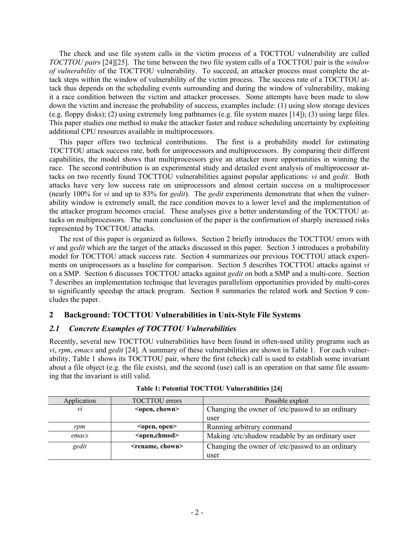The check and use file system calls in the victim process of a TOCTTOU vulnerability are called *TOCTTOU pairs* [24][25]. The time between the two file system calls of a TOCTTOU pair is the *window of vulnerability* of the TOCTTOU vulnerability. To succeed, an attacker process must complete the attack steps within the window of vulnerability of the victim process. The success rate of a TOCTTOU attack thus depends on the scheduling events surrounding and during the window of vulnerability, making it a race condition between the victim and attacker processes. Some attempts have been made to slow down the victim and increase the probability of success, examples include: (1) using slow storage devices (e.g. floppy disks); (2) using extremely long pathnames (e.g. file system mazes [14]); (3) using large files. This paper studies one method to make the attacker faster and reduce scheduling uncertainty by exploiting additional CPU resources available in multiprocessors.

This paper offers two technical contributions. The first is a probability model for estimating TOCTTOU attack success rate, both for uniprocessors and multiprocessors. By comparing their different capabilities, the model shows that multiprocessors give an attacker more opportunities in winning the race. The second contribution is an experimental study and detailed event analysis of multiprocessor attacks on two recently found TOCTTOU vulnerabilities against popular applications: *vi* and *gedit*. Both attacks have very low success rate on uniprocessors and almost certain success on a multiprocessor (nearly 100% for *vi* and up to 83% for *gedit*). The *gedit* experiments demonstrate that when the vulnerability window is extremely small, the race condition moves to a lower level and the implementation of the attacker program becomes crucial. These analyses give a better understanding of the TOCTTOU attacks on multiprocessors. The main conclusion of the paper is the confirmation of sharply increased risks represented by TOCTTOU attacks.

The rest of this paper is organized as follows. Section 2 briefly introduces the TOCTTOU errors with *vi* and *gedit* which are the target of the attacks discussed in this paper. Section 3 introduces a probability model for TOCTTOU attack success rate. Section 4 summarizes our previous TOCTTOU attack experiments on uniprocessors as a baseline for comparison. Section 5 describes TOCTTOU attacks against *vi* on a SMP. Section 6 discusses TOCTTOU attacks against *gedit* on both a SMP and a multi-core. Section 7 describes an implementation technique that leverages parallelism opportunities provided by multi-cores to significantly speedup the attack program. Section 8 summaries the related work and Section 9 concludes the paper.

## **2 Background: TOCTTOU Vulnerabilities in Unix-Style File Systems**

## *2.1 Concrete Examples of TOCTTOU Vulnerabilities*

Recently, several new TOCTTOU vulnerabilities have been found in often-used utility programs such as *vi*, *rpm*, *emacs* and *gedit* [24]. A summary of these vulnerabilities are shown in Table 1. For each vulnerability, Table 1 shows its TOCTTOU pair, where the first (check) call is used to establish some invariant about a file object (e.g. the file exists), and the second (use) call is an operation on that same file assuming that the invariant is still valid.

| Application | <b>TOCTTOU</b> errors                           | Possible exploit                                 |  |
|-------------|-------------------------------------------------|--------------------------------------------------|--|
| νi          | <open, chown=""></open,>                        | Changing the owner of /etc/passwd to an ordinary |  |
|             | user                                            |                                                  |  |
| rpm         | Running arbitrary command<br>$<$ open, open $>$ |                                                  |  |
| emacs       | <open,chmod></open,chmod>                       | Making /etc/shadow readable by an ordinary user  |  |
| gedit       | <rename, chown=""></rename,>                    | Changing the owner of /etc/passwd to an ordinary |  |
|             |                                                 | user                                             |  |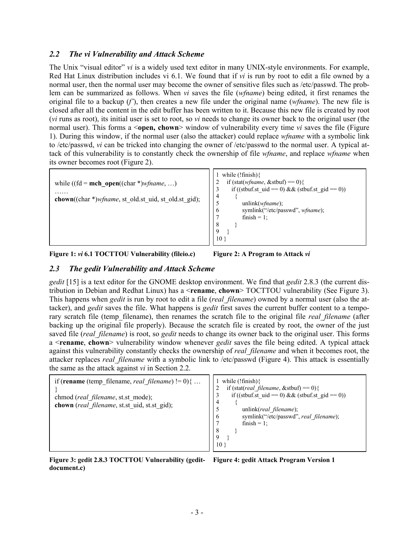## *2.2 The vi Vulnerability and Attack Scheme*

The Unix "visual editor" *vi* is a widely used text editor in many UNIX-style environments. For example, Red Hat Linux distribution includes vi 6.1. We found that if *vi* is run by root to edit a file owned by a normal user, then the normal user may become the owner of sensitive files such as /etc/passwd. The problem can be summarized as follows. When *vi* saves the file (*wfname*) being edited, it first renames the original file to a backup (*f'*), then creates a new file under the original name (*wfname*). The new file is closed after all the content in the edit buffer has been written to it. Because this new file is created by root (*vi* runs as root), its initial user is set to root, so *vi* needs to change its owner back to the original user (the normal user). This forms a <**open, chown**> window of vulnerability every time *vi* saves the file (Figure 1). During this window, if the normal user (also the attacker) could replace *wfname* with a symbolic link to /etc/passwd, *vi* can be tricked into changing the owner of /etc/passwd to the normal user. A typical attack of this vulnerability is to constantly check the ownership of file *wfname*, and replace *wfname* when its owner becomes root (Figure 2).



**Figure 1:** *vi* **6.1 TOCTTOU Vulnerability (fileio.c) Figure 2: A Program to Attack** *vi*

## *2.3 The gedit Vulnerability and Attack Scheme*

*gedit* [15] is a text editor for the GNOME desktop environment. We find that *gedit* 2.8.3 (the current distribution in Debian and Redhat Linux) has a <**rename**, **chown**> TOCTTOU vulnerability (See Figure 3). This happens when *gedit* is run by root to edit a file (*real\_filename*) owned by a normal user (also the attacker), and *gedit* saves the file. What happens is *gedit* first saves the current buffer content to a temporary scratch file (temp\_filename), then renames the scratch file to the original file *real\_filename* (after backing up the original file properly). Because the scratch file is created by root, the owner of the just saved file (*real\_filename*) is root, so *gedit* needs to change its owner back to the original user. This forms a <**rename**, **chown**> vulnerability window whenever *gedit* saves the file being edited. A typical attack against this vulnerability constantly checks the ownership of *real\_filename* and when it becomes root, the attacker replaces *real\_filename* with a symbolic link to /etc/passwd (Figure 4). This attack is essentially the same as the attack against *vi* in Section 2.2.



**Figure 3: gedit 2.8.3 TOCTTOU Vulnerability (gedit-Figure 4: gedit Attack Program Version 1 document.c)** 

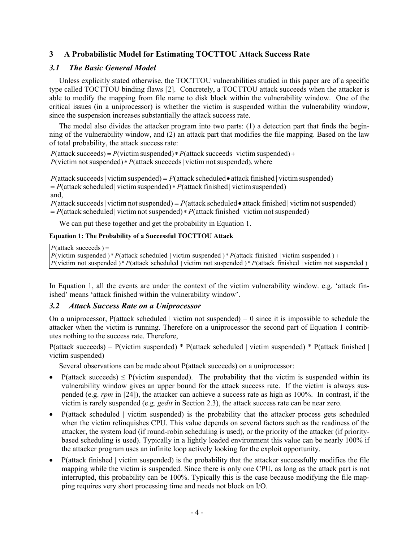## **3 A Probabilistic Model for Estimating TOCTTOU Attack Success Rate**

## *3.1 The Basic General Model*

Unless explicitly stated otherwise, the TOCTTOU vulnerabilities studied in this paper are of a specific type called TOCTTOU binding flaws [2]. Concretely, a TOCTTOU attack succeeds when the attacker is able to modify the mapping from file name to disk block within the vulnerability window. One of the critical issues (in a uniprocessor) is whether the victim is suspended within the vulnerability window, since the suspension increases substantially the attack success rate.

The model also divides the attacker program into two parts: (1) a detection part that finds the beginning of the vulnerability window, and (2) an attack part that modifies the file mapping. Based on the law of total probability, the attack success rate:

 $P$ (victim not suspended)  $*P$ (attack succeeds | victim not suspended), where  $P$ (attack succeeds) =  $P$ (victim suspended) \*  $P$ (attack succeeds | victim suspended) +

and,  $= P(\text{attack scheduled} | \text{ victim suspended}) * P(\text{attack finished} | \text{victim suspended})$  $P$ (attack succeeds | victim suspended) =  $P$ (attack scheduled • attack finished | victim suspended)

 $= P(\text{attack scheduled} | \text{ victim not suspended}) * P(\text{attack finished} | \text{victim not suspended})$  $P$ (attack succeeds | victim not suspended) =  $P$ (attack scheduled • attack finished | victim not suspended)

We can put these together and get the probability in Equation 1.

### **Equation 1: The Probability of a Successful TOCTTOU Attack**

```
P(attack succeeds) =
```
*P*(victim not suspended )\* *P*(attack scheduled | victim not suspended )\* *P*(attack finished | victim not suspended )  $P$ (victim suspended ) \*  $P$  (attack scheduled | victim suspended ) \*  $P$  (attack finished | victim suspended ) +

In Equation 1, all the events are under the context of the victim vulnerability window. e.g. 'attack finished' means 'attack finished within the vulnerability window'.

## *3.2 Attack Success Rate on a Uniprocessor*

On a uniprocessor, P(attack scheduled | victim not suspended) = 0 since it is impossible to schedule the attacker when the victim is running. Therefore on a uniprocessor the second part of Equation 1 contributes nothing to the success rate. Therefore,

 $P(attack succeeds) = P(vitim suspended) * P(attack schedule d | victim suspended) * P(attack)$ victim suspended)

Several observations can be made about P(attack succeeds) on a uniprocessor:

- P(attack succeeds)  $\leq$  P(victim suspended). The probability that the victim is suspended within its vulnerability window gives an upper bound for the attack success rate. If the victim is always suspended (e.g. *rpm* in [24]), the attacker can achieve a success rate as high as 100%. In contrast, if the victim is rarely suspended (e.g. *gedit* in Section 2.3), the attack success rate can be near zero.
- P(attack scheduled | victim suspended) is the probability that the attacker process gets scheduled when the victim relinquishes CPU. This value depends on several factors such as the readiness of the attacker, the system load (if round-robin scheduling is used), or the priority of the attacker (if prioritybased scheduling is used). Typically in a lightly loaded environment this value can be nearly 100% if the attacker program uses an infinite loop actively looking for the exploit opportunity.
- P(attack finished | victim suspended) is the probability that the attacker successfully modifies the file mapping while the victim is suspended. Since there is only one CPU, as long as the attack part is not interrupted, this probability can be 100%. Typically this is the case because modifying the file mapping requires very short processing time and needs not block on I/O.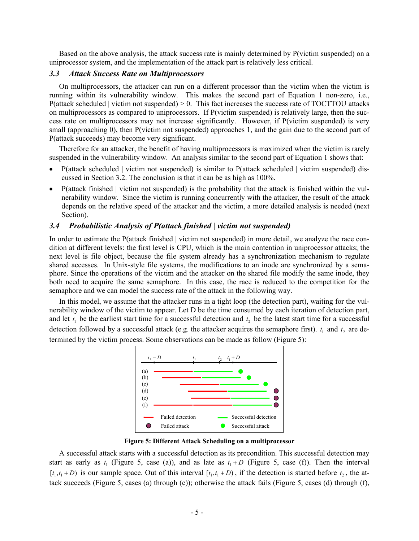Based on the above analysis, the attack success rate is mainly determined by P(victim suspended) on a uniprocessor system, and the implementation of the attack part is relatively less critical.

#### *3.3 Attack Success Rate on Multiprocessors*

On multiprocessors, the attacker can run on a different processor than the victim when the victim is running within its vulnerability window. This makes the second part of Equation 1 non-zero, i.e., P(attack scheduled | victim not suspended) > 0. This fact increases the success rate of TOCTTOU attacks on multiprocessors as compared to uniprocessors. If P(victim suspended) is relatively large, then the success rate on multiprocessors may not increase significantly. However, if P(victim suspended) is very small (approaching 0), then P(victim not suspended) approaches 1, and the gain due to the second part of P(attack succeeds) may become very significant.

Therefore for an attacker, the benefit of having multiprocessors is maximized when the victim is rarely suspended in the vulnerability window. An analysis similar to the second part of Equation 1 shows that:

- P(attack scheduled | victim not suspended) is similar to P(attack scheduled | victim suspended) discussed in Section 3.2. The conclusion is that it can be as high as 100%.
- P(attack finished | victim not suspended) is the probability that the attack is finished within the vulnerability window. Since the victim is running concurrently with the attacker, the result of the attack depends on the relative speed of the attacker and the victim, a more detailed analysis is needed (next Section).

#### *3.4 Probabilistic Analysis of P(attack finished | victim not suspended)*

In order to estimate the P(attack finished | victim not suspended) in more detail, we analyze the race condition at different levels: the first level is CPU, which is the main contention in uniprocessor attacks; the next level is file object, because the file system already has a synchronization mechanism to regulate shared accesses. In Unix-style file systems, the modifications to an inode are synchronized by a semaphore. Since the operations of the victim and the attacker on the shared file modify the same inode, they both need to acquire the same semaphore. In this case, the race is reduced to the competition for the semaphore and we can model the success rate of the attack in the following way.

In this model, we assume that the attacker runs in a tight loop (the detection part), waiting for the vulnerability window of the victim to appear. Let D be the time consumed by each iteration of detection part, and let  $t_1$  be the earliest start time for a successful detection and  $t_2$  be the latest start time for a successful detection followed by a successful attack (e.g. the attacker acquires the semaphore first).  $t_1$  and  $t_2$  are determined by the victim process. Some observations can be made as follow (Figure 5):



**Figure 5: Different Attack Scheduling on a multiprocessor** 

A successful attack starts with a successful detection as its precondition. This successful detection may start as early as  $t_1$  (Figure 5, case (a)), and as late as  $t_1 + D$  (Figure 5, case (f)). Then the interval  $[t_1, t_1 + D)$  is our sample space. Out of this interval  $[t_1, t_1 + D)$ , if the detection is started before  $t_2$ , the attack succeeds (Figure 5, cases (a) through (c)); otherwise the attack fails (Figure 5, cases (d) through (f),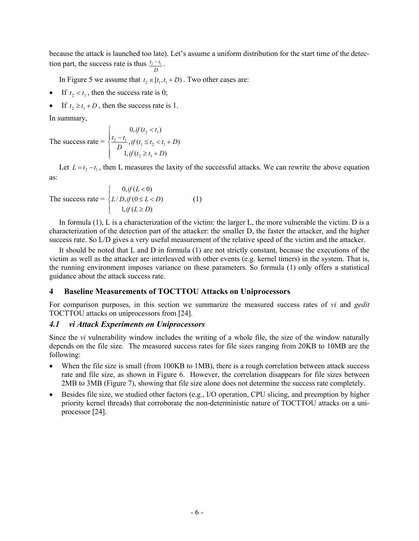because the attack is launched too late). Let's assume a uniform distribution for the start time of the detection part, the success rate is thus  $t_2 - t_1$ . *D*

In Figure 5 we assume that  $t_2 \in [t_1, t_1 + D)$ . Two other cases are:

- If  $t_2 < t_1$ , then the success rate is 0;
- If  $t_2 \ge t_1 + D$ , then the success rate is 1.

In summary,

The success rate = 
$$
\begin{cases} 0, if (t_2 < t_1) \\ \frac{t_2 - t_1}{D}, if (t_1 \le t_2 < t_1 + D) \\ 1, if (t_2 \ge t_1 + D) \end{cases}
$$

Let  $L = t_2 - t_1$ , then L measures the laxity of the successful attacks. We can rewrite the above equation as:

The success rate = 
$$
\begin{cases} 0, if (L < 0) \\ L/D, if (0 \le L < D) \\ 1, if (L \ge D) \end{cases}
$$
 (1)

In formula (1), L is a characterization of the victim: the larger L, the more vulnerable the victim. D is a characterization of the detection part of the attacker: the smaller D, the faster the attacker, and the higher success rate. So L/D gives a very useful measurement of the relative speed of the victim and the attacker.

It should be noted that L and D in formula (1) are not strictly constant, because the executions of the victim as well as the attacker are interleaved with other events (e.g. kernel timers) in the system. That is, the running environment imposes variance on these parameters. So formula (1) only offers a statistical guidance about the attack success rate.

## **4 Baseline Measurements of TOCTTOU Attacks on Uniprocessors**

For comparison purposes, in this section we summarize the measured success rates of *vi* and *gedit*  TOCTTOU attacks on uniprocessors from [24].

#### *4.1 vi Attack Experiments on Uniprocessors*

Since the *vi* vulnerability window includes the writing of a whole file, the size of the window naturally depends on the file size. The measured success rates for file sizes ranging from 20KB to 10MB are the following:

- When the file size is small (from 100KB to 1MB), there is a rough correlation between attack success rate and file size, as shown in Figure 6. However, the correlation disappears for file sizes between 2MB to 3MB (Figure 7), showing that file size alone does not determine the success rate completely.
- Besides file size, we studied other factors (e.g., I/O operation, CPU slicing, and preemption by higher priority kernel threads) that corroborate the non-deterministic nature of TOCTTOU attacks on a uniprocessor [24].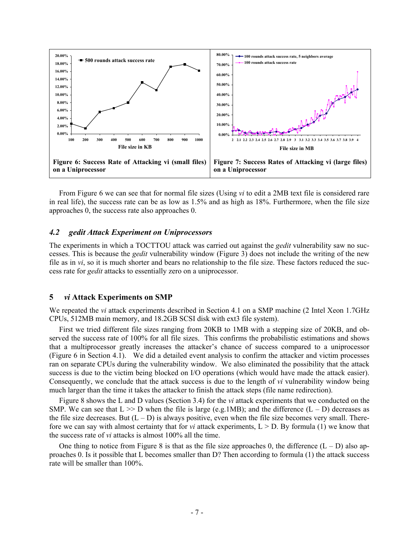

From Figure 6 we can see that for normal file sizes (Using *vi* to edit a 2MB text file is considered rare in real life), the success rate can be as low as 1.5% and as high as 18%. Furthermore, when the file size approaches 0, the success rate also approaches 0.

#### *4.2 gedit Attack Experiment on Uniprocessors*

The experiments in which a TOCTTOU attack was carried out against the *gedit* vulnerability saw no successes. This is because the *gedit* vulnerability window (Figure 3) does not include the writing of the new file as in *vi*, so it is much shorter and bears no relationship to the file size. These factors reduced the success rate for *gedit* attacks to essentially zero on a uniprocessor.

#### **5** *vi* **Attack Experiments on SMP**

We repeated the *vi* attack experiments described in Section 4.1 on a SMP machine (2 Intel Xeon 1.7GHz CPUs, 512MB main memory, and 18.2GB SCSI disk with ext3 file system).

First we tried different file sizes ranging from 20KB to 1MB with a stepping size of 20KB, and observed the success rate of 100% for all file sizes. This confirms the probabilistic estimations and shows that a multiprocessor greatly increases the attacker's chance of success compared to a uniprocessor (Figure 6 in Section 4.1). We did a detailed event analysis to confirm the attacker and victim processes ran on separate CPUs during the vulnerability window. We also eliminated the possibility that the attack success is due to the victim being blocked on I/O operations (which would have made the attack easier). Consequently, we conclude that the attack success is due to the length of *vi* vulnerability window being much larger than the time it takes the attacker to finish the attack steps (file name redirection).

Figure 8 shows the L and D values (Section 3.4) for the *vi* attack experiments that we conducted on the SMP. We can see that  $L \gg D$  when the file is large (e.g.1MB); and the difference  $(L - D)$  decreases as the file size decreases. But  $(L - D)$  is always positive, even when the file size becomes very small. Therefore we can say with almost certainty that for *vi* attack experiments, L > D. By formula (1) we know that the success rate of *vi* attacks is almost 100% all the time.

One thing to notice from Figure 8 is that as the file size approaches 0, the difference  $(L - D)$  also approaches 0. Is it possible that L becomes smaller than D? Then according to formula (1) the attack success rate will be smaller than 100%.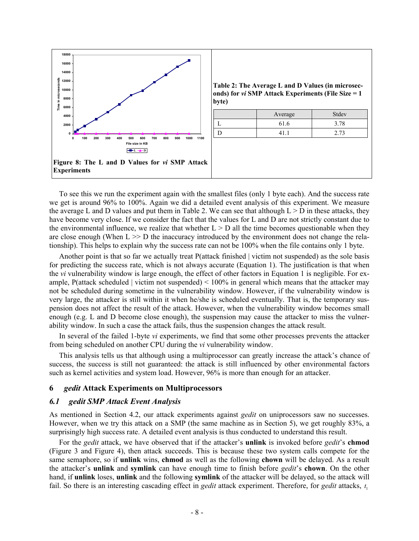

To see this we run the experiment again with the smallest files (only 1 byte each). And the success rate we get is around 96% to 100%. Again we did a detailed event analysis of this experiment. We measure the average L and D values and put them in Table 2. We can see that although  $L > D$  in these attacks, they have become very close. If we consider the fact that the values for L and D are not strictly constant due to the environmental influence, we realize that whether  $L > D$  all the time becomes questionable when they are close enough (When  $L \gg D$  the inaccuracy introduced by the environment does not change the relationship). This helps to explain why the success rate can not be 100% when the file contains only 1 byte.

Another point is that so far we actually treat P(attack finished | victim not suspended) as the sole basis for predicting the success rate, which is not always accurate (Equation 1). The justification is that when the *vi* vulnerability window is large enough, the effect of other factors in Equation 1 is negligible. For example, P(attack scheduled | victim not suspended)  $< 100\%$  in general which means that the attacker may not be scheduled during sometime in the vulnerability window. However, if the vulnerability window is very large, the attacker is still within it when he/she is scheduled eventually. That is, the temporary suspension does not affect the result of the attack. However, when the vulnerability window becomes small enough (e.g. L and D become close enough), the suspension may cause the attacker to miss the vulnerability window. In such a case the attack fails, thus the suspension changes the attack result.

In several of the failed 1-byte *vi* experiments, we find that some other processes prevents the attacker from being scheduled on another CPU during the *vi* vulnerability window.

This analysis tells us that although using a multiprocessor can greatly increase the attack's chance of success, the success is still not guaranteed: the attack is still influenced by other environmental factors such as kernel activities and system load. However, 96% is more than enough for an attacker.

#### **6** *gedit* **Attack Experiments on Multiprocessors**

#### *6.1 gedit SMP Attack Event Analysis*

As mentioned in Section 4.2, our attack experiments against *gedit* on uniprocessors saw no successes. However, when we try this attack on a SMP (the same machine as in Section 5), we get roughly 83%, a surprisingly high success rate. A detailed event analysis is thus conducted to understand this result.

For the *gedit* attack, we have observed that if the attacker's **unlink** is invoked before *gedit*'s **chmod**  (Figure 3 and Figure 4), then attack succeeds. This is because these two system calls compete for the same semaphore, so if **unlink** wins, **chmod** as well as the following **chown** will be delayed. As a result the attacker's **unlink** and **symlink** can have enough time to finish before *gedit*'s **chown**. On the other hand, if **unlink** loses, **unlink** and the following **symlink** of the attacker will be delayed, so the attack will fail. So there is an interesting cascading effect in *gedit* attack experiment. Therefore, for *gedit* attacks,  $t_1$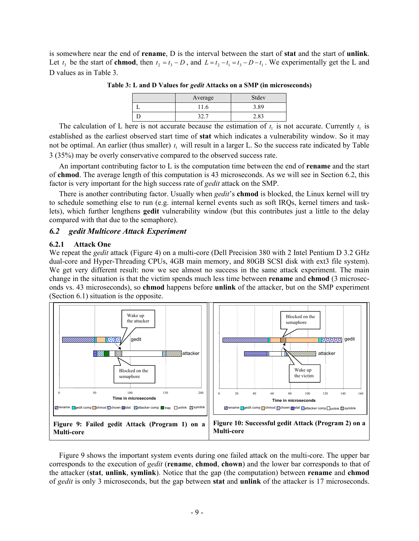is somewhere near the end of **rename**, D is the interval between the start of **stat** and the start of **unlink**. Let  $t_3$  be the start of **chmod**, then  $t_2 = t_3 - D$ , and  $L = t_2 - t_1 = t_3 - D - t_1$ . We experimentally get the L and D values as in Table 3.

|  | Average | Stdev |
|--|---------|-------|
|  | 11.6    | 3.89  |
|  |         | 2.83  |

**Table 3: L and D Values for** *gedit* **Attacks on a SMP (in microseconds)** 

The calculation of L here is not accurate because the estimation of  $t_1$  is not accurate. Currently  $t_1$  is established as the earliest observed start time of **stat** which indicates a vulnerability window. So it may not be optimal. An earlier (thus smaller)  $t_1$  will result in a larger L. So the success rate indicated by Table 3 (35%) may be overly conservative compared to the observed success rate.

An important contributing factor to L is the computation time between the end of **rename** and the start of **chmod**. The average length of this computation is 43 microseconds. As we will see in Section 6.2, this factor is very important for the high success rate of *gedit* attack on the SMP.

There is another contributing factor. Usually when *gedit*'s **chmod** is blocked, the Linux kernel will try to schedule something else to run (e.g. internal kernel events such as soft IRQs, kernel timers and tasklets), which further lengthens **gedit** vulnerability window (but this contributes just a little to the delay compared with that due to the semaphore).

### *6.2 gedit Multicore Attack Experiment*

#### **6.2.1 Attack One**

We repeat the *gedit* attack (Figure 4) on a multi-core (Dell Precision 380 with 2 Intel Pentium D 3.2 GHz dual-core and Hyper-Threading CPUs, 4GB main memory, and 80GB SCSI disk with ext3 file system). We get very different result: now we see almost no success in the same attack experiment. The main change in the situation is that the victim spends much less time between **rename** and **chmod** (3 microseconds vs. 43 microseconds), so **chmod** happens before **unlink** of the attacker, but on the SMP experiment (Section 6.1) situation is the opposite.



Figure 9 shows the important system events during one failed attack on the multi-core. The upper bar corresponds to the execution of *gedit* (**rename**, **chmod**, **chown**) and the lower bar corresponds to that of the attacker (**stat**, **unlink**, **symlink**). Notice that the gap (the computation) between **rename** and **chmod** of *gedit* is only 3 microseconds, but the gap between **stat** and **unlink** of the attacker is 17 microseconds.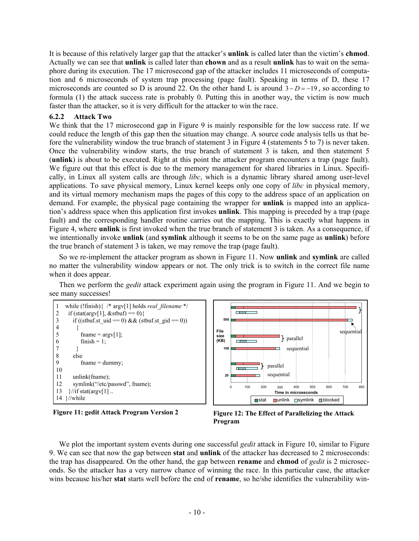It is because of this relatively larger gap that the attacker's **unlink** is called later than the victim's **chmod**. Actually we can see that **unlink** is called later than **chown** and as a result **unlink** has to wait on the semaphore during its execution. The 17 microsecond gap of the attacker includes 11 microseconds of computation and 6 microseconds of system trap processing (page fault). Speaking in terms of D, these 17 microseconds are counted so D is around 22. On the other hand L is around 3− *D* = −19 , so according to formula (1) the attack success rate is probably 0. Putting this in another way, the victim is now much faster than the attacker, so it is very difficult for the attacker to win the race.

## **6.2.2 Attack Two**

We think that the 17 microsecond gap in Figure 9 is mainly responsible for the low success rate. If we could reduce the length of this gap then the situation may change. A source code analysis tells us that before the vulnerability window the true branch of statement 3 in Figure 4 (statements 5 to 7) is never taken. Once the vulnerability window starts, the true branch of statement 3 is taken, and then statement 5 (**unlink**) is about to be executed. Right at this point the attacker program encounters a trap (page fault). We figure out that this effect is due to the memory management for shared libraries in Linux. Specifically, in Linux all system calls are through *libc*, which is a dynamic library shared among user-level applications. To save physical memory, Linux kernel keeps only one copy of *libc* in physical memory, and its virtual memory mechanism maps the pages of this copy to the address space of an application on demand. For example, the physical page containing the wrapper for **unlink** is mapped into an application's address space when this application first invokes **unlink**. This mapping is preceded by a trap (page fault) and the corresponding handler routine carries out the mapping. This is exactly what happens in Figure 4, where **unlink** is first invoked when the true branch of statement 3 is taken. As a consequence, if we intentionally invoke **unlink** (and **symlink** although it seems to be on the same page as **unlink**) before the true branch of statement 3 is taken, we may remove the trap (page fault).

So we re-implement the attacker program as shown in Figure 11. Now **unlink** and **symlink** are called no matter the vulnerability window appears or not. The only trick is to switch in the correct file name when it does appear.

Then we perform the *gedit* attack experiment again using the program in Figure 11. And we begin to see many successes!







We plot the important system events during one successful *gedit* attack in Figure 10, similar to Figure 9. We can see that now the gap between **stat** and **unlink** of the attacker has decreased to 2 microseconds: the trap has disappeared. On the other hand, the gap between **rename** and **chmod** of *gedit* is 2 microseconds. So the attacker has a very narrow chance of winning the race. In this particular case, the attacker wins because his/her **stat** starts well before the end of **rename**, so he/she identifies the vulnerability win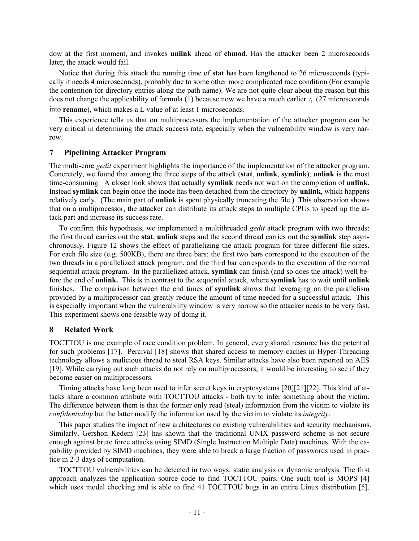dow at the first moment, and invokes **unlink** ahead of **chmod**. Has the attacker been 2 microseconds later, the attack would fail.

Notice that during this attack the running time of **stat** has been lengthened to 26 microseconds (typically it needs 4 microseconds), probably due to some other more complicated race condition (For example the contention for directory entries along the path name). We are not quite clear about the reason but this does not change the applicability of formula (1) because now we have a much earlier  $t_1$  (27 microseconds into **rename**), which makes a L value of at least 1 microseconds.

This experience tells us that on multiprocessors the implementation of the attacker program can be very critical in determining the attack success rate, especially when the vulnerability window is very narrow.

### **7 Pipelining Attacker Program**

The multi-core *gedit* experiment highlights the importance of the implementation of the attacker program. Concretely, we found that among the three steps of the attack (**stat**, **unlink**, **symlink**), **unlink** is the most time-consuming. A closer look shows that actually **symlink** needs not wait on the completion of **unlink**. Instead **symlink** can begin once the inode has been detached from the directory by **unlink**, which happens relatively early. (The main part of **unlink** is spent physically truncating the file.) This observation shows that on a multiprocessor, the attacker can distribute its attack steps to multiple CPUs to speed up the attack part and increase its success rate.

To confirm this hypothesis, we implemented a multithreaded *gedit* attack program with two threads: the first thread carries out the **stat**, **unlink** steps and the second thread carries out the **symlink** step asynchronously. Figure 12 shows the effect of parallelizing the attack program for three different file sizes. For each file size (e.g. 500KB), there are three bars: the first two bars correspond to the execution of the two threads in a parallelized attack program, and the third bar corresponds to the execution of the normal sequential attack program. In the parallelized attack, **symlink** can finish (and so does the attack) well before the end of **unlink.** This is in contrast to the sequential attack, where **symlink** has to wait until **unlink** finishes. The comparison between the end times of **symlink** shows that leveraging on the parallelism provided by a multiprocessor can greatly reduce the amount of time needed for a successful attack. This is especially important when the vulnerability window is very narrow so the attacker needs to be very fast. This experiment shows one feasible way of doing it.

### **8 Related Work**

TOCTTOU is one example of race condition problem. In general, every shared resource has the potential for such problems [17]. Percival [18] shows that shared access to memory caches in Hyper-Threading technology allows a malicious thread to steal RSA keys. Similar attacks have also been reported on AES [19]. While carrying out such attacks do not rely on multiprocessors, it would be interesting to see if they become easier on multiprocessors.

Timing attacks have long been used to infer secret keys in cryptosystems [20][21][22]. This kind of attacks share a common attribute with TOCTTOU attacks - both try to infer something about the victim. The difference between them is that the former only read (steal) information from the victim to violate its *confidentiality* but the latter modify the information used by the victim to violate its *integrity*.

This paper studies the impact of new architectures on existing vulnerabilities and security mechanisms. Similarly, Gershon Kedem [23] has shown that the traditional UNIX password scheme is not secure enough against brute force attacks using SIMD (Single Instruction Multiple Data) machines. With the capability provided by SIMD machines, they were able to break a large fraction of passwords used in practice in 2-3 days of computation.

TOCTTOU vulnerabilities can be detected in two ways: static analysis or dynamic analysis. The first approach analyzes the application source code to find TOCTTOU pairs. One such tool is MOPS [4] which uses model checking and is able to find 41 TOCTTOU bugs in an entire Linux distribution [5].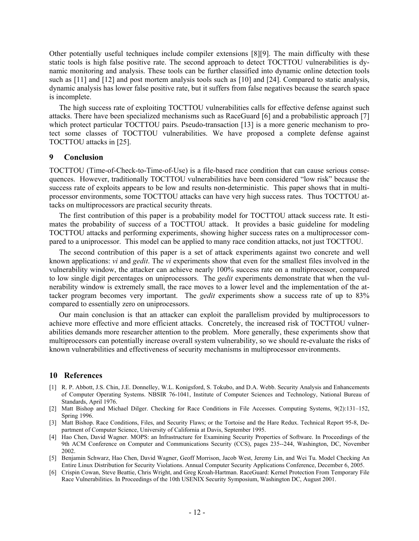Other potentially useful techniques include compiler extensions [8][9]. The main difficulty with these static tools is high false positive rate. The second approach to detect TOCTTOU vulnerabilities is dynamic monitoring and analysis. These tools can be further classified into dynamic online detection tools such as [11] and [12] and post mortem analysis tools such as [10] and [24]. Compared to static analysis, dynamic analysis has lower false positive rate, but it suffers from false negatives because the search space is incomplete.

The high success rate of exploiting TOCTTOU vulnerabilities calls for effective defense against such attacks. There have been specialized mechanisms such as RaceGuard [6] and a probabilistic approach [7] which protect particular TOCTTOU pairs. Pseudo-transaction [13] is a more generic mechanism to protect some classes of TOCTTOU vulnerabilities. We have proposed a complete defense against TOCTTOU attacks in [25].

#### **9 Conclusion**

TOCTTOU (Time-of-Check-to-Time-of-Use) is a file-based race condition that can cause serious consequences. However, traditionally TOCTTOU vulnerabilities have been considered "low risk" because the success rate of exploits appears to be low and results non-deterministic. This paper shows that in multiprocessor environments, some TOCTTOU attacks can have very high success rates. Thus TOCTTOU attacks on multiprocessors are practical security threats.

The first contribution of this paper is a probability model for TOCTTOU attack success rate. It estimates the probability of success of a TOCTTOU attack. It provides a basic guideline for modeling TOCTTOU attacks and performing experiments, showing higher success rates on a multiprocessor compared to a uniprocessor. This model can be applied to many race condition attacks, not just TOCTTOU.

The second contribution of this paper is a set of attack experiments against two concrete and well known applications: *vi* and *gedit*. The *vi* experiments show that even for the smallest files involved in the vulnerability window, the attacker can achieve nearly 100% success rate on a multiprocessor, compared to low single digit percentages on uniprocessors. The *gedit* experiments demonstrate that when the vulnerability window is extremely small, the race moves to a lower level and the implementation of the attacker program becomes very important. The *gedit* experiments show a success rate of up to 83% compared to essentially zero on uniprocessors.

Our main conclusion is that an attacker can exploit the parallelism provided by multiprocessors to achieve more effective and more efficient attacks. Concretely, the increased risk of TOCTTOU vulnerabilities demands more researcher attention to the problem. More generally, these experiments show that multiprocessors can potentially increase overall system vulnerability, so we should re-evaluate the risks of known vulnerabilities and effectiveness of security mechanisms in multiprocessor environments.

### **10 References**

- [1] R. P. Abbott, J.S. Chin, J.E. Donnelley, W.L. Konigsford, S. Tokubo, and D.A. Webb. Security Analysis and Enhancements of Computer Operating Systems. NBSIR 76-1041, Institute of Computer Sciences and Technology, National Bureau of Standards, April 1976.
- [2] Matt Bishop and Michael Dilger. Checking for Race Conditions in File Accesses. Computing Systems, 9(2):131–152, Spring 1996.
- [3] Matt Bishop. Race Conditions, Files, and Security Flaws; or the Tortoise and the Hare Redux. Technical Report 95-8, Department of Computer Science, University of California at Davis, September 1995.
- [4] Hao Chen, David Wagner. MOPS: an Infrastructure for Examining Security Properties of Software. In Proceedings of the 9th ACM Conference on Computer and Communications Security (CCS), pages 235--244, Washington, DC, November 2002.
- [5] Benjamin Schwarz, Hao Chen, David Wagner, Geoff Morrison, Jacob West, Jeremy Lin, and Wei Tu. Model Checking An Entire Linux Distribution for Security Violations. Annual Computer Security Applications Conference, December 6, 2005.
- [6] Crispin Cowan, Steve Beattie, Chris Wright, and Greg Kroah-Hartman. RaceGuard: Kernel Protection From Temporary File Race Vulnerabilities. In Proceedings of the 10th USENIX Security Symposium, Washington DC, August 2001.